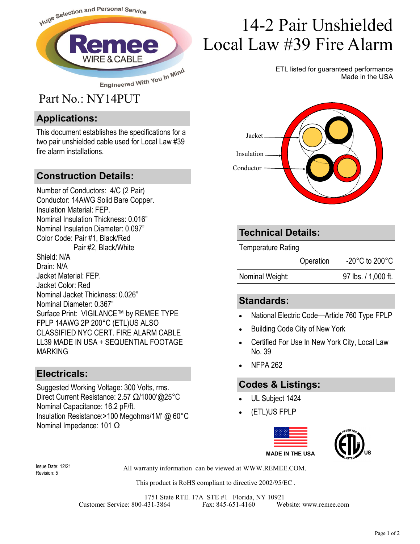

#### **Applications:**

This document establishes the specifications for a two pair unshielded cable used for Local Law #39 fire alarm installations.

#### **Construction Details:**

Number of Conductors: 4/C (2 Pair) Conductor: 14AWG Solid Bare Copper. Insulation Material: FEP. Nominal Insulation Thickness: 0.016" Nominal Insulation Diameter: 0.097" Color Code: Pair #1, Black/Red Pair #2, Black/White Shield: N/A Drain: N/A Jacket Material: FEP. Jacket Color: Red Nominal Jacket Thickness: 0.026" Nominal Diameter: 0.367" Surface Print: VIGILANCE™ by REMEE TYPE FPLP 14AWG 2P 200°C (ETL)US ALSO CLASSIFIED NYC CERT. FIRE ALARM CABLE LL39 MADE IN USA + SEQUENTIAL FOOTAGE MARKING

#### **Electricals:**

Suggested Working Voltage: 300 Volts, rms. Direct Current Resistance: 2.57 Ω/1000'@25°C Nominal Capacitance: 16.2 pF/ft. Insulation Resistance:>100 Megohms/1M' @ 60°C Nominal Impedance: 101 Ω

# 14-2 Pair Unshielded Local Law #39 Fire Alarm

ETL listed for guaranteed performance Made in the USA



#### **Technical Details:**

Temperature Rating

Operation -20°C to 200°C

Nominal Weight: 97 lbs. / 1,000 ft.

#### **Standards:**

- National Electric Code—Article 760 Type FPLP
- Building Code City of New York
- Certified For Use In New York City, Local Law No. 39
- NFPA 262

### **Codes & Listings:**

- UL Subject 1424
- (ETL)US FPLP



Revision: 5

All warranty information can be viewed at WWW.REMEE.COM. Issue Date: 12/21

This product is RoHS compliant to directive 2002/95/EC .

1751 State RTE. 17A STE #1 Florida, NY 10921 Customer Service: 800-431-3864 Fax: 845-651-4160 Website: www.remee.com